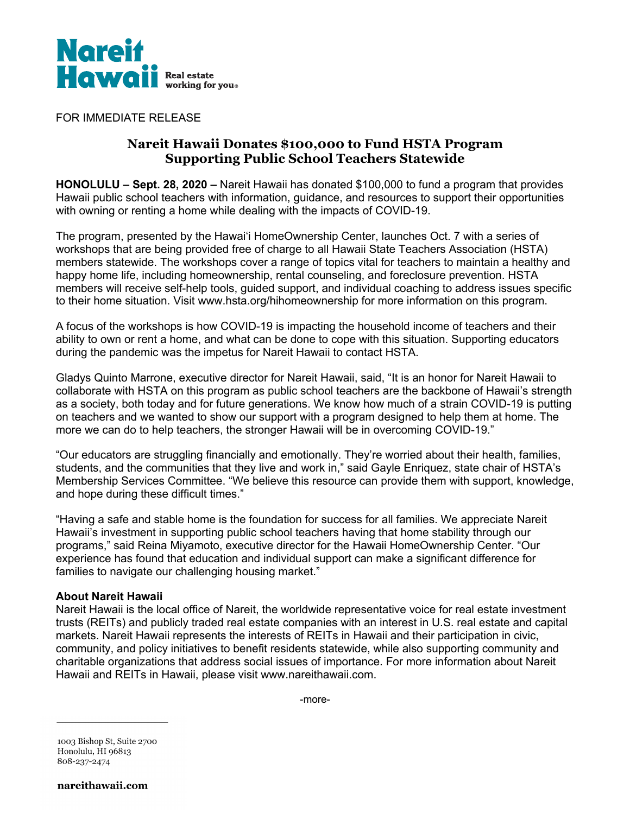

FOR IMMEDIATE RELEASE

# **Nareit Hawaii Donates \$100,000 to Fund HSTA Program Supporting Public School Teachers Statewide**

**HONOLULU – Sept. 28, 2020 –** Nareit Hawaii has donated \$100,000 to fund a program that provides Hawaii public school teachers with information, guidance, and resources to support their opportunities with owning or renting a home while dealing with the impacts of COVID-19.

The program, presented by the Hawai'i HomeOwnership Center, launches Oct. 7 with a series of workshops that are being provided free of charge to all Hawaii State Teachers Association (HSTA) members statewide. The workshops cover a range of topics vital for teachers to maintain a healthy and happy home life, including homeownership, rental counseling, and foreclosure prevention. HSTA members will receive self-help tools, guided support, and individual coaching to address issues specific to their home situation. Visit www.hsta.org/hihomeownership for more information on this program.

A focus of the workshops is how COVID-19 is impacting the household income of teachers and their ability to own or rent a home, and what can be done to cope with this situation. Supporting educators during the pandemic was the impetus for Nareit Hawaii to contact HSTA.

Gladys Quinto Marrone, executive director for Nareit Hawaii, said, "It is an honor for Nareit Hawaii to collaborate with HSTA on this program as public school teachers are the backbone of Hawaii's strength as a society, both today and for future generations. We know how much of a strain COVID-19 is putting on teachers and we wanted to show our support with a program designed to help them at home. The more we can do to help teachers, the stronger Hawaii will be in overcoming COVID-19."

"Our educators are struggling financially and emotionally. They're worried about their health, families, students, and the communities that they live and work in," said Gayle Enriquez, state chair of HSTA's Membership Services Committee. "We believe this resource can provide them with support, knowledge, and hope during these difficult times."

"Having a safe and stable home is the foundation for success for all families. We appreciate Nareit Hawaii's investment in supporting public school teachers having that home stability through our programs," said Reina Miyamoto, executive director for the Hawaii HomeOwnership Center. "Our experience has found that education and individual support can make a significant difference for families to navigate our challenging housing market."

## **About Nareit Hawaii**

Nareit Hawaii is the local office of Nareit, the worldwide representative voice for real estate investment trusts (REITs) and publicly traded real estate companies with an interest in U.S. real estate and capital markets. Nareit Hawaii represents the interests of REITs in Hawaii and their participation in civic, community, and policy initiatives to benefit residents statewide, while also supporting community and charitable organizations that address social issues of importance. For more information about Nareit Hawaii and REITs in Hawaii, please visit www.nareithawaii.com.

-more-

1003 Bishop St, Suite 2700 Honolulu, HI 96813 808-237-2474